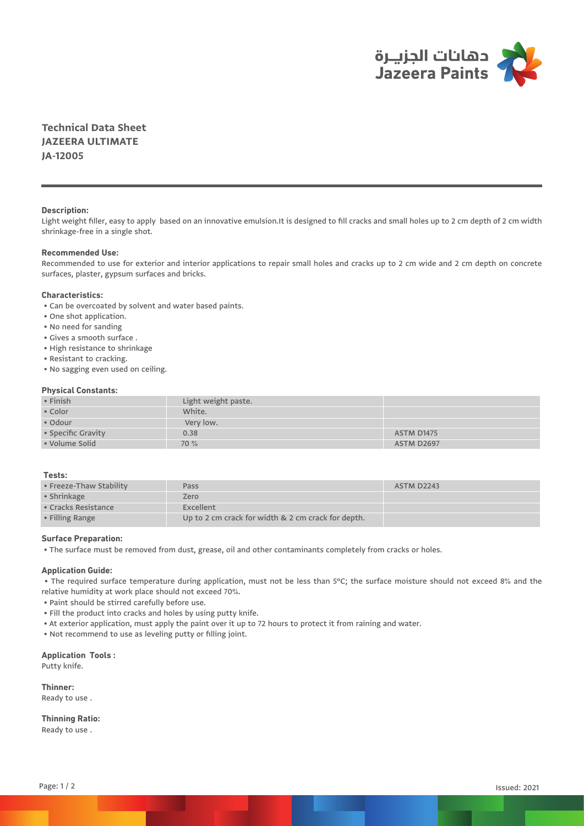

**Technical Data Sheet JAZEERA ULTIMATE JA-12005**

## **Description:**

Light weight filler, easy to apply based on an innovative emulsion.It is designed to fill cracks and small holes up to 2 cm depth of 2 cm width shrinkage-free in a single shot.

## **Recommended Use:**

Recommended to use for exterior and interior applications to repair small holes and cracks up to 2 cm wide and 2 cm depth on concrete surfaces, plaster, gypsum surfaces and bricks.

# **Characteristics:**

• Can be overcoated by solvent and water based paints.

- One shot application.
- No need for sanding
- Gives a smooth surface .
- High resistance to shrinkage
- Resistant to cracking.
- No sagging even used on ceiling.

## **Physical Constants:**

| • Finish           | Light weight paste. |                   |  |  |
|--------------------|---------------------|-------------------|--|--|
| • Color            | White.              |                   |  |  |
| • Odour            | Very low.           |                   |  |  |
| • Specific Gravity | 0.38                | ASTM D1475        |  |  |
| • Volume Solid     | 70 %                | <b>ASTM D2697</b> |  |  |

## **Tests:**

| • Freeze-Thaw Stability     | Pass                                               | ASTM D2243 |
|-----------------------------|----------------------------------------------------|------------|
| $\bullet$ Shrinkage         | Zero                                               |            |
| $\bullet$ Cracks Resistance | Excellent                                          |            |
| • Filling Range             | Up to 2 cm crack for width & 2 cm crack for depth. |            |

## **Surface Preparation:**

• The surface must be removed from dust, grease, oil and other contaminants completely from cracks or holes.

## **Application Guide:**

 • The required surface temperature during application, must not be less than 5°C; the surface moisture should not exceed 8% and the relative humidity at work place should not exceed 70%.

- Paint should be stirred carefully before use.
- Fill the product into cracks and holes by using putty knife.
- At exterior application, must apply the paint over it up to 72 hours to protect it from raining and water.

• Not recommend to use as leveling putty or filling joint.

# **Application Tools :**

Putty knife.

**Thinner:**  Ready to use .

# **Thinning Ratio:**

Ready to use .